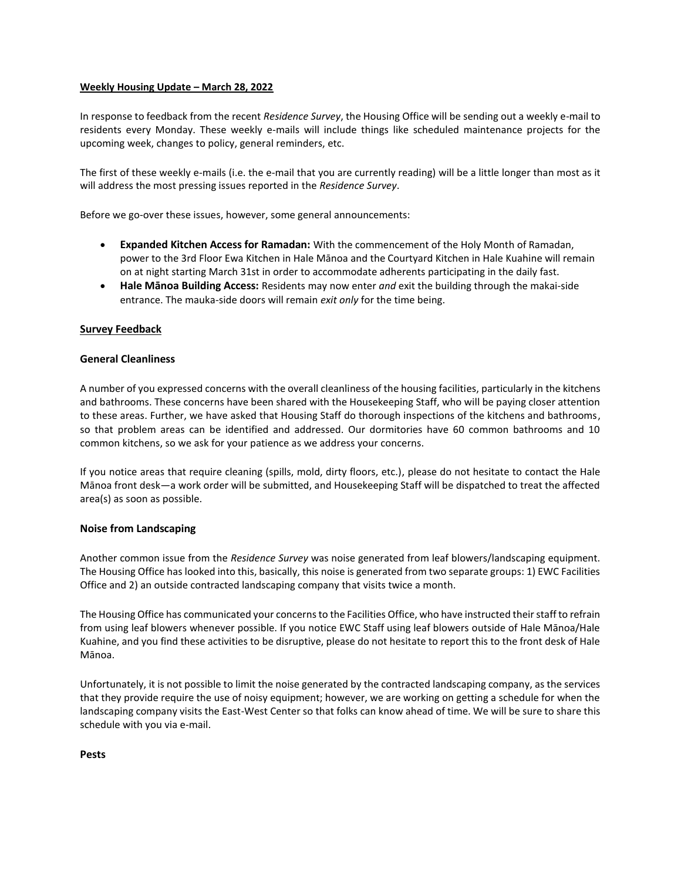#### **Weekly Housing Update – March 28, 2022**

In response to feedback from the recent *Residence Survey*, the Housing Office will be sending out a weekly e-mail to residents every Monday. These weekly e-mails will include things like scheduled maintenance projects for the upcoming week, changes to policy, general reminders, etc.

The first of these weekly e-mails (i.e. the e-mail that you are currently reading) will be a little longer than most as it will address the most pressing issues reported in the *Residence Survey*.

Before we go-over these issues, however, some general announcements:

- **Expanded Kitchen Access for Ramadan:** With the commencement of the Holy Month of Ramadan, power to the 3rd Floor Ewa Kitchen in Hale Mānoa and the Courtyard Kitchen in Hale Kuahine will remain on at night starting March 31st in order to accommodate adherents participating in the daily fast.
- **Hale Mānoa Building Access:** Residents may now enter *and* exit the building through the makai-side entrance. The mauka-side doors will remain *exit only* for the time being.

#### **Survey Feedback**

#### **General Cleanliness**

A number of you expressed concerns with the overall cleanliness of the housing facilities, particularly in the kitchens and bathrooms. These concerns have been shared with the Housekeeping Staff, who will be paying closer attention to these areas. Further, we have asked that Housing Staff do thorough inspections of the kitchens and bathrooms, so that problem areas can be identified and addressed. Our dormitories have 60 common bathrooms and 10 common kitchens, so we ask for your patience as we address your concerns.

If you notice areas that require cleaning (spills, mold, dirty floors, etc.), please do not hesitate to contact the Hale Mānoa front desk—a work order will be submitted, and Housekeeping Staff will be dispatched to treat the affected area(s) as soon as possible.

## **Noise from Landscaping**

Another common issue from the *Residence Survey* was noise generated from leaf blowers/landscaping equipment. The Housing Office has looked into this, basically, this noise is generated from two separate groups: 1) EWC Facilities Office and 2) an outside contracted landscaping company that visits twice a month.

The Housing Office has communicated your concerns to the Facilities Office, who have instructed their staff to refrain from using leaf blowers whenever possible. If you notice EWC Staff using leaf blowers outside of Hale Mānoa/Hale Kuahine, and you find these activities to be disruptive, please do not hesitate to report this to the front desk of Hale Mānoa.

Unfortunately, it is not possible to limit the noise generated by the contracted landscaping company, as the services that they provide require the use of noisy equipment; however, we are working on getting a schedule for when the landscaping company visits the East-West Center so that folks can know ahead of time. We will be sure to share this schedule with you via e-mail.

**Pests**